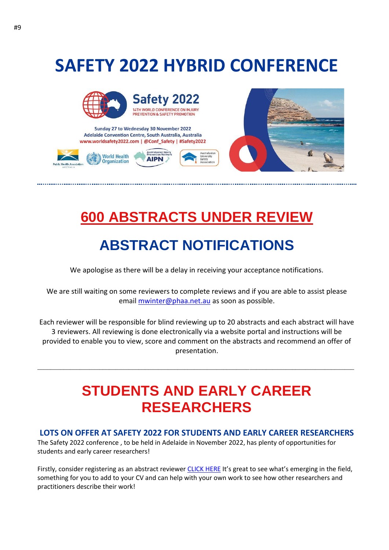### **SAFETY 2022 HYBRID CONFERENCE**



Sunday 27 to Wednesday 30 November 2022 Adelaide Convention Centre, South Australia, Australia www.worldsafety2022.com | @Conf\_Safety | #Safety2022





# **600 ABSTRACTS UNDER REVIEW**

**ustralasia** 

#### **ABSTRACT NOTIFICATIONS**

We apologise as there will be a delay in receiving your acceptance notifications.

We are still waiting on some reviewers to complete reviews and if you are able to assist please email [mwinter@phaa.net.au](mailto:mwinter@phaa.net.au) as soon as possible.

Each reviewer will be responsible for blind reviewing up to 20 abstracts and each abstract will have 3 reviewers. All reviewing is done electronically via a website portal and instructions will be provided to enable you to view, score and comment on the abstracts and recommend an offer of presentation.

#### **STUDENTS AND EARLY CAREER RESEARCHERS**

\_\_\_\_\_\_\_\_\_\_\_\_\_\_\_\_\_\_\_\_\_\_\_\_\_\_\_\_\_\_\_\_\_\_\_\_\_\_\_\_\_\_\_\_\_\_\_\_\_\_\_\_\_\_\_\_\_\_\_\_\_\_\_\_\_\_\_\_\_\_\_\_\_\_\_\_\_\_\_\_\_\_\_\_\_\_\_\_\_\_\_\_\_\_\_\_\_

#### **LOTS ON OFFER AT SAFETY 2022 FOR STUDENTS AND EARLY CAREER RESEARCHERS**

The Safety 2022 conference , to be held in Adelaide in November 2022, has plenty of opportunities for students and early career researchers!

Firstly, consider registering as an abstract reviewer [CLICK HERE](https://phaa.eventsair.com/safety2022/reviewers22) It's great to see what's emerging in the field, something for you to add to your CV and can help with your own work to see how other researchers and practitioners describe their work!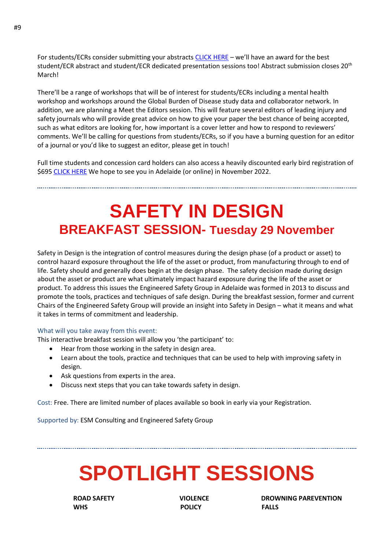For students/ECRs consider submitting your abstracts [CLICK HERE](https://phaa.eventsair.com/safety2022/safety22) – we'll have an award for the best student/ECR abstract and student/ECR dedicated presentation sessions too! Abstract submission closes 20<sup>th</sup> March!

There'll be a range of workshops that will be of interest for students/ECRs including a mental health workshop and workshops around the Global Burden of Disease study data and collaborator network. In addition, we are planning a Meet the Editors session. This will feature several editors of leading injury and safety journals who will provide great advice on how to give your paper the best chance of being accepted, such as what editors are looking for, how important is a cover letter and how to respond to reviewers' comments. We'll be calling for questions from students/ECRs, so if you have a burning question for an editor of a journal or you'd like to suggest an editor, please get in touch!

Full time students and concession card holders can also access a heavily discounted early bird registration of \$695 [CLICK HERE](https://phaa.eventsair.com/safety2022/earlyrego) We hope to see you in Adelaide (or online) in November 2022.

**SAFETY IN DESIGN BREAKFAST SESSION- Tuesday 29 November**

Safety in Design is the integration of control measures during the design phase (of a product or asset) to control hazard exposure throughout the life of the asset or product, from manufacturing through to end of life. Safety should and generally does begin at the design phase. The safety decision made during design about the asset or product are what ultimately impact hazard exposure during the life of the asset or product. To address this issues the Engineered Safety Group in Adelaide was formed in 2013 to discuss and promote the tools, practices and techniques of safe design. During the breakfast session, former and current Chairs of the Engineered Safety Group will provide an insight into Safety in Design – what it means and what it takes in terms of commitment and leadership.

#### What will you take away from this event:

This interactive breakfast session will allow you 'the participant' to:

- Hear from those working in the safety in design area.
- Learn about the tools, practice and techniques that can be used to help with improving safety in design.
- Ask questions from experts in the area.
- Discuss next steps that you can take towards safety in design.

Cost: Free. There are limited number of places available so book in early via your Registration.

Supported by: ESM Consulting and Engineered Safety Group

# **SPOTLIGHT SESSIONS**

**THE WHS RESERVE THE POLICY FALLS** 

**ROAD SAFETY CONSUMING PAREVENTION**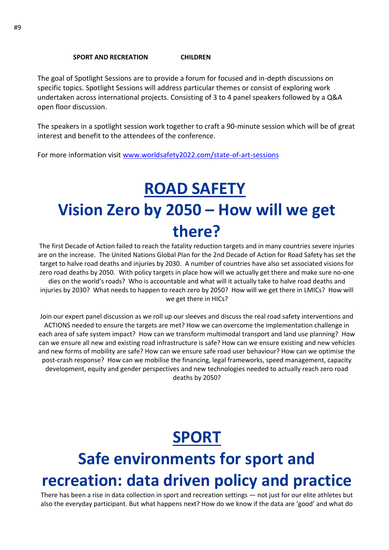#### **SPORT AND RECREATION CHILDREN**

The goal of Spotlight Sessions are to provide a forum for focused and in-depth discussions on specific topics. Spotlight Sessions will address particular themes or consist of exploring work undertaken across international projects. Consisting of 3 to 4 panel speakers followed by a Q&A open floor discussion.

The speakers in a spotlight session work together to craft a 90-minute session which will be of great interest and benefit to the attendees of the conference.

For more information visit [www.worldsafety2022.com/state-of-art-sessions](http://www.worldsafety2022.com/state-of-art-sessions)

# **ROAD SAFETY Vision Zero by 2050 – How will we get there?**

The first Decade of Action failed to reach the fatality reduction targets and in many countries severe injuries are on the increase. The United Nations Global Plan for the 2nd Decade of Action for Road Safety has set the target to halve road deaths and injuries by 2030. A number of countries have also set associated visions for zero road deaths by 2050. With policy targets in place how will we actually get there and make sure no-one dies on the world's roads? Who is accountable and what will it actually take to halve road deaths and injuries by 2030? What needs to happen to reach zero by 2050? How will we get there in LMICs? How will we get there in HICs?

Join our expert panel discussion as we roll up our sleeves and discuss the real road safety interventions and ACTIONS needed to ensure the targets are met? How we can overcome the implementation challenge in each area of safe system impact? How can we transform multimodal transport and land use planning? How can we ensure all new and existing road infrastructure is safe? How can we ensure existing and new vehicles and new forms of mobility are safe? How can we ensure safe road user behaviour? How can we optimise the post-crash response? How can we mobilise the financing, legal frameworks, speed management, capacity development, equity and gender perspectives and new technologies needed to actually reach zero road deaths by 2050?

# **SPORT**

# **Safe environments for sport and recreation: data driven policy and practice**

There has been a rise in data collection in sport and recreation settings — not just for our elite athletes but also the everyday participant. But what happens next? How do we know if the data are 'good' and what do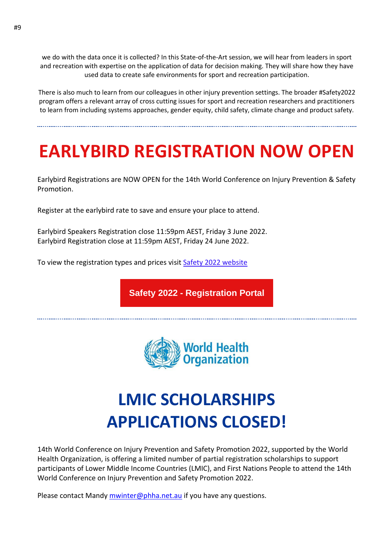we do with the data once it is collected? In this State-of-the-Art session, we will hear from leaders in sport and recreation with expertise on the application of data for decision making. They will share how they have used data to create safe environments for sport and recreation participation.

There is also much to learn from our colleagues in other injury prevention settings. The broader #Safety2022 program offers a relevant array of cross cutting issues for sport and recreation researchers and practitioners to learn from including systems approaches, gender equity, child safety, climate change and product safety.

# **EARLYBIRD REGISTRATION NOW OPEN**

Earlybird Registrations are NOW OPEN for the 14th World Conference on Injury Prevention & Safety Promotion.

Register at the earlybird rate to save and ensure your place to attend.

Earlybird Speakers Registration close 11:59pm AEST, Friday 3 June 2022. Earlybird Registration close at 11:59pm AEST, Friday 24 June 2022.

To view the registration types and prices visit [Safety 2022 website](https://aus01.safelinks.protection.outlook.com/?url=https%3A%2F%2Fwww.worldsafety2022.com%2Fregistration&data=04%7C01%7Crichard.franklin%40jcu.edu.au%7C3ef70b6a0f2c41591bbd08da016e3e54%7C30a8c4e81ecd4f148099f73482a7adc0%7C0%7C0%7C637823871031878004%7CUnknown%7CTWFpbGZsb3d8eyJWIjoiMC4wLjAwMDAiLCJQIjoiV2luMzIiLCJBTiI6Ik1haWwiLCJXVCI6Mn0%3D%7C2000&sdata=sMtGFcyd8agslIXR1Jd0ruEcnPncKaS9owSqq%2F3d%2BNY%3D&reserved=0)

**Safety 2022 - [Registration](https://aus01.safelinks.protection.outlook.com/?url=https%3A%2F%2Fphaa.eventsair.com%2Fsafety2022%2Fearlyrego&data=04%7C01%7Crichard.franklin%40jcu.edu.au%7C3ef70b6a0f2c41591bbd08da016e3e54%7C30a8c4e81ecd4f148099f73482a7adc0%7C0%7C0%7C637823871031878004%7CUnknown%7CTWFpbGZsb3d8eyJWIjoiMC4wLjAwMDAiLCJQIjoiV2luMzIiLCJBTiI6Ik1haWwiLCJXVCI6Mn0%3D%7C2000&sdata=FthpipK3H0FgGXD8ZlriMYZNYy8ZerQIuYjsF4Yehu0%3D&reserved=0) Portal**



# **LMIC SCHOLARSHIPS APPLICATIONS CLOSED!**

14th World Conference on Injury Prevention and Safety Promotion 2022, supported by the World Health Organization, is offering a limited number of partial registration scholarships to support participants of Lower Middle Income Countries (LMIC), and First Nations People to attend the 14th World Conference on Injury Prevention and Safety Promotion 2022.

Please contact Mandy [mwinter@phha.net.au](mailto:mwinter@phha.net.au) if you have any questions.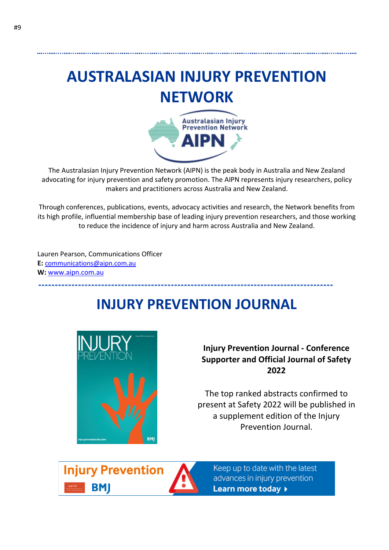# **AUSTRALASIAN INJURY PREVENTION NETWORK**



The Australasian Injury Prevention Network (AIPN) is the peak body in Australia and New Zealand advocating for injury prevention and safety promotion. The AIPN represents injury researchers, policy makers and practitioners across Australia and New Zealand.

Through conferences, publications, events, advocacy activities and research, the Network benefits from its high profile, influential membership base of leading injury prevention researchers, and those working to reduce the incidence of injury and harm across Australia and New Zealand.

Lauren Pearson, Communications Officer **E:** [communications@aipn.com.au](mailto:communications@aipn.com.au) **W:** [www.aipn.com.au](http://www.aipn.com.au/)

#### **INJURY PREVENTION JOURNAL**



**Injury Prevention Journal - Conference Supporter and Official Journal of Safety 2022** 

The top ranked abstracts confirmed to present at Safety 2022 will be published in a supplement edition of the Injury Prevention Journal.

**Injury Prevention** BMI



Keep up to date with the latest advances in injury prevention Learn more today >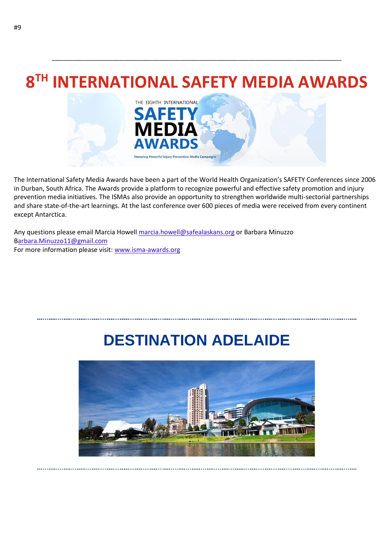### **8 TH INTERNATIONAL SAFETY MEDIA AWARDS**

\_\_\_\_\_\_\_\_\_\_\_\_\_\_\_\_\_\_\_\_\_\_\_\_\_\_\_\_\_\_\_\_\_\_\_\_\_\_\_\_\_\_\_\_\_\_\_\_\_\_\_\_\_\_\_\_\_\_\_\_\_\_\_\_\_\_\_\_\_\_\_\_\_\_\_\_\_\_\_\_\_



The International Safety Media Awards have been a part of the World Health Organization's SAFETY Conferences since 2006 in Durban, South Africa. The Awards provide a platform to recognize powerful and effective safety promotion and injury prevention media initiatives. The ISMAs also provide an opportunity to strengthen worldwide multi-sectorial partnerships and share state-of-the-art learnings. At the last conference over 600 pieces of media were received from every continent except Antarctica.

Any questions please email Marcia Howell [marcia.howell@safealaskans.org](mailto:marcia.howell@safealaskans.org) or Barbara Minuzzo [Barbara.Minuzzo11@gmail.com](mailto:barbara.minuzzo11@gmail.com) For more information please visit: [www.isma-awards.org](https://aus01.safelinks.protection.outlook.com/?url=http%3A%2F%2Fisma-awards.org%2F&data=04%7C01%7Crichard.franklin%40jcu.edu.au%7C3ef70b6a0f2c41591bbd08da016e3e54%7C30a8c4e81ecd4f148099f73482a7adc0%7C0%7C0%7C637823871031878004%7CUnknown%7CTWFpbGZsb3d8eyJWIjoiMC4wLjAwMDAiLCJQIjoiV2luMzIiLCJBTiI6Ik1haWwiLCJXVCI6Mn0%3D%7C2000&sdata=nfq7Ix2Coof4WkH1zUyv%2Fj5f6njbgx%2FoaF4yU36h2Tg%3D&reserved=0)

#### **DESTINATION ADELAIDE**

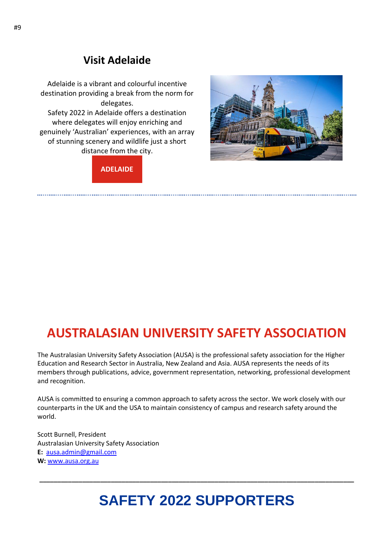#### **Visit Adelaide**

Adelaide is a vibrant and colourful incentive destination providing a break from the norm for delegates. Safety 2022 in Adelaide offers a destination where delegates will enjoy enriching and genuinely 'Australian' experiences, with an array of stunning scenery and wildlife just a short distance from the city.



**[ADELAIDE](https://aus01.safelinks.protection.outlook.com/?url=https%3A%2F%2Fsouthaustralia.com%2Fdestinations%2Fadelaide&data=04%7C01%7Crichard.franklin%40jcu.edu.au%7C3ef70b6a0f2c41591bbd08da016e3e54%7C30a8c4e81ecd4f148099f73482a7adc0%7C0%7C0%7C637823871032034230%7CUnknown%7CTWFpbGZsb3d8eyJWIjoiMC4wLjAwMDAiLCJQIjoiV2luMzIiLCJBTiI6Ik1haWwiLCJXVCI6Mn0%3D%7C2000&sdata=Wq2q77HHuD0zhJL54N5RgctYmLYNyoiF2n16hMyEo1Y%3D&reserved=0)**

#### **AUSTRALASIAN UNIVERSITY SAFETY ASSOCIATION**

The Australasian University Safety Association (AUSA) is the professional safety association for the Higher Education and Research Sector in Australia, New Zealand and Asia. AUSA represents the needs of its members through publications, advice, government representation, networking, professional development and recognition.

AUSA is committed to ensuring a common approach to safety across the sector. We work closely with our counterparts in the UK and the USA to maintain consistency of campus and research safety around the world.

Scott Burnell, President Australasian University Safety Association **E:** [ausa.admin@gmail.com](mailto:ausa.admin@gmail.com) **W:** [www.ausa.org.au](http://www.ausa.org.au/)

#### **SAFETY 2022 SUPPORTERS**

**\_\_\_\_\_\_\_\_\_\_\_\_\_\_\_\_\_\_\_\_\_\_\_\_\_\_\_\_\_\_\_\_\_\_\_\_\_\_\_\_\_\_\_\_\_\_\_\_\_\_\_\_\_\_\_\_\_\_\_\_\_\_\_\_\_\_\_\_\_\_\_\_\_\_\_\_\_\_\_\_\_\_\_\_\_\_\_\_**